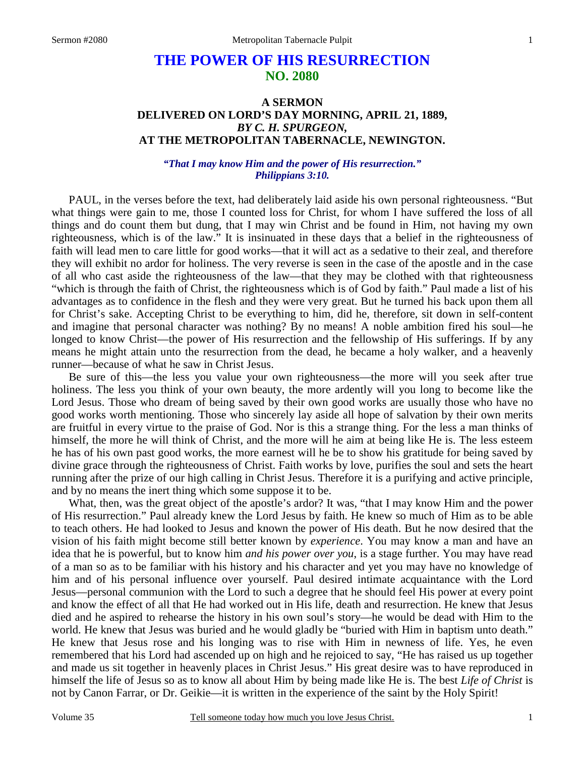# **THE POWER OF HIS RESURRECTION NO. 2080**

## **A SERMON DELIVERED ON LORD'S DAY MORNING, APRIL 21, 1889,**  *BY C. H. SPURGEON,*  **AT THE METROPOLITAN TABERNACLE, NEWINGTON.**

### *"That I may know Him and the power of His resurrection." Philippians 3:10.*

PAUL, in the verses before the text, had deliberately laid aside his own personal righteousness. "But what things were gain to me, those I counted loss for Christ, for whom I have suffered the loss of all things and do count them but dung, that I may win Christ and be found in Him, not having my own righteousness, which is of the law." It is insinuated in these days that a belief in the righteousness of faith will lead men to care little for good works—that it will act as a sedative to their zeal, and therefore they will exhibit no ardor for holiness. The very reverse is seen in the case of the apostle and in the case of all who cast aside the righteousness of the law—that they may be clothed with that righteousness "which is through the faith of Christ, the righteousness which is of God by faith." Paul made a list of his advantages as to confidence in the flesh and they were very great. But he turned his back upon them all for Christ's sake. Accepting Christ to be everything to him, did he, therefore, sit down in self-content and imagine that personal character was nothing? By no means! A noble ambition fired his soul—he longed to know Christ—the power of His resurrection and the fellowship of His sufferings. If by any means he might attain unto the resurrection from the dead, he became a holy walker, and a heavenly runner—because of what he saw in Christ Jesus.

Be sure of this—the less you value your own righteousness—the more will you seek after true holiness. The less you think of your own beauty, the more ardently will you long to become like the Lord Jesus. Those who dream of being saved by their own good works are usually those who have no good works worth mentioning. Those who sincerely lay aside all hope of salvation by their own merits are fruitful in every virtue to the praise of God. Nor is this a strange thing. For the less a man thinks of himself, the more he will think of Christ, and the more will he aim at being like He is. The less esteem he has of his own past good works, the more earnest will he be to show his gratitude for being saved by divine grace through the righteousness of Christ. Faith works by love, purifies the soul and sets the heart running after the prize of our high calling in Christ Jesus. Therefore it is a purifying and active principle, and by no means the inert thing which some suppose it to be.

What, then, was the great object of the apostle's ardor? It was, "that I may know Him and the power of His resurrection." Paul already knew the Lord Jesus by faith. He knew so much of Him as to be able to teach others. He had looked to Jesus and known the power of His death. But he now desired that the vision of his faith might become still better known by *experience*. You may know a man and have an idea that he is powerful, but to know him *and his power over you*, is a stage further. You may have read of a man so as to be familiar with his history and his character and yet you may have no knowledge of him and of his personal influence over yourself. Paul desired intimate acquaintance with the Lord Jesus—personal communion with the Lord to such a degree that he should feel His power at every point and know the effect of all that He had worked out in His life, death and resurrection. He knew that Jesus died and he aspired to rehearse the history in his own soul's story—he would be dead with Him to the world. He knew that Jesus was buried and he would gladly be "buried with Him in baptism unto death." He knew that Jesus rose and his longing was to rise with Him in newness of life. Yes, he even remembered that his Lord had ascended up on high and he rejoiced to say, "He has raised us up together and made us sit together in heavenly places in Christ Jesus." His great desire was to have reproduced in himself the life of Jesus so as to know all about Him by being made like He is. The best *Life of Christ* is not by Canon Farrar, or Dr. Geikie—it is written in the experience of the saint by the Holy Spirit!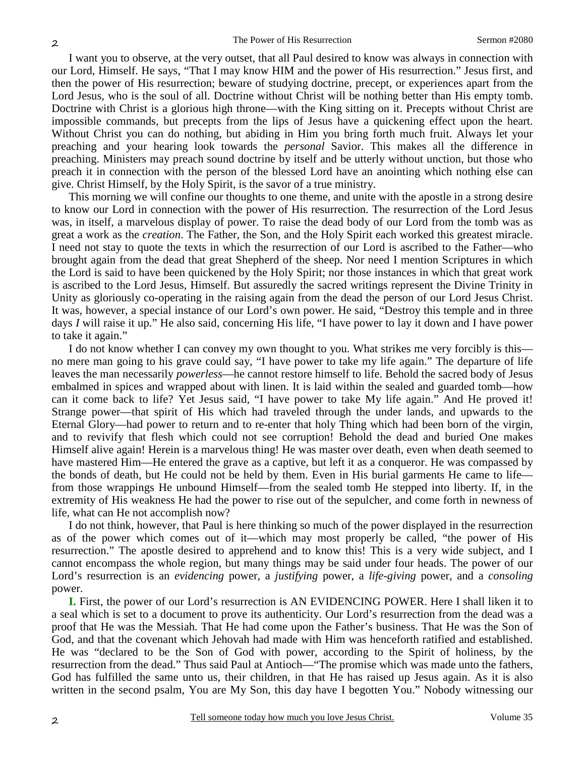I want you to observe, at the very outset, that all Paul desired to know was always in connection with our Lord, Himself. He says, "That I may know HIM and the power of His resurrection." Jesus first, and then the power of His resurrection; beware of studying doctrine, precept, or experiences apart from the Lord Jesus, who is the soul of all. Doctrine without Christ will be nothing better than His empty tomb. Doctrine with Christ is a glorious high throne—with the King sitting on it. Precepts without Christ are impossible commands, but precepts from the lips of Jesus have a quickening effect upon the heart. Without Christ you can do nothing, but abiding in Him you bring forth much fruit. Always let your preaching and your hearing look towards the *personal* Savior. This makes all the difference in preaching. Ministers may preach sound doctrine by itself and be utterly without unction, but those who preach it in connection with the person of the blessed Lord have an anointing which nothing else can give. Christ Himself, by the Holy Spirit, is the savor of a true ministry.

This morning we will confine our thoughts to one theme, and unite with the apostle in a strong desire to know our Lord in connection with the power of His resurrection. The resurrection of the Lord Jesus was, in itself, a marvelous display of power. To raise the dead body of our Lord from the tomb was as great a work as the *creation*. The Father, the Son, and the Holy Spirit each worked this greatest miracle. I need not stay to quote the texts in which the resurrection of our Lord is ascribed to the Father—who brought again from the dead that great Shepherd of the sheep. Nor need I mention Scriptures in which the Lord is said to have been quickened by the Holy Spirit; nor those instances in which that great work is ascribed to the Lord Jesus, Himself. But assuredly the sacred writings represent the Divine Trinity in Unity as gloriously co-operating in the raising again from the dead the person of our Lord Jesus Christ. It was, however, a special instance of our Lord's own power. He said, "Destroy this temple and in three days *I* will raise it up." He also said, concerning His life, "I have power to lay it down and I have power to take it again."

I do not know whether I can convey my own thought to you. What strikes me very forcibly is this no mere man going to his grave could say, "I have power to take my life again." The departure of life leaves the man necessarily *powerless*—he cannot restore himself to life. Behold the sacred body of Jesus embalmed in spices and wrapped about with linen. It is laid within the sealed and guarded tomb—how can it come back to life? Yet Jesus said, "I have power to take My life again." And He proved it! Strange power—that spirit of His which had traveled through the under lands, and upwards to the Eternal Glory—had power to return and to re-enter that holy Thing which had been born of the virgin, and to revivify that flesh which could not see corruption! Behold the dead and buried One makes Himself alive again! Herein is a marvelous thing! He was master over death, even when death seemed to have mastered Him—He entered the grave as a captive, but left it as a conqueror. He was compassed by the bonds of death, but He could not be held by them. Even in His burial garments He came to life from those wrappings He unbound Himself—from the sealed tomb He stepped into liberty. If, in the extremity of His weakness He had the power to rise out of the sepulcher, and come forth in newness of life, what can He not accomplish now?

I do not think, however, that Paul is here thinking so much of the power displayed in the resurrection as of the power which comes out of it—which may most properly be called, "the power of His resurrection." The apostle desired to apprehend and to know this! This is a very wide subject, and I cannot encompass the whole region, but many things may be said under four heads. The power of our Lord's resurrection is an *evidencing* power, a *justifying* power, a *life-giving* power, and a *consoling* power.

**I.** First, the power of our Lord's resurrection is AN EVIDENCING POWER. Here I shall liken it to a seal which is set to a document to prove its authenticity. Our Lord's resurrection from the dead was a proof that He was the Messiah. That He had come upon the Father's business. That He was the Son of God, and that the covenant which Jehovah had made with Him was henceforth ratified and established. He was "declared to be the Son of God with power, according to the Spirit of holiness, by the resurrection from the dead." Thus said Paul at Antioch—"The promise which was made unto the fathers, God has fulfilled the same unto us, their children, in that He has raised up Jesus again. As it is also written in the second psalm, You are My Son, this day have I begotten You." Nobody witnessing our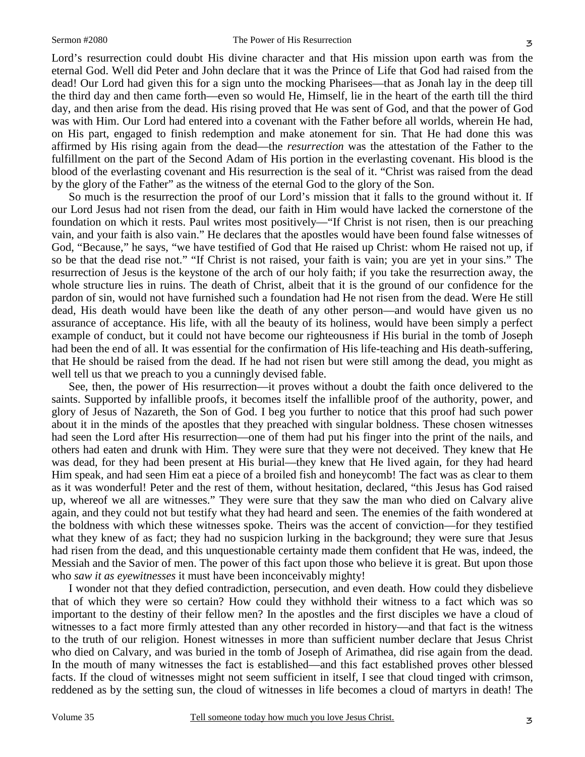Lord's resurrection could doubt His divine character and that His mission upon earth was from the eternal God. Well did Peter and John declare that it was the Prince of Life that God had raised from the dead! Our Lord had given this for a sign unto the mocking Pharisees—that as Jonah lay in the deep till the third day and then came forth—even so would He, Himself, lie in the heart of the earth till the third day, and then arise from the dead. His rising proved that He was sent of God, and that the power of God was with Him. Our Lord had entered into a covenant with the Father before all worlds, wherein He had, on His part, engaged to finish redemption and make atonement for sin. That He had done this was affirmed by His rising again from the dead—the *resurrection* was the attestation of the Father to the fulfillment on the part of the Second Adam of His portion in the everlasting covenant. His blood is the blood of the everlasting covenant and His resurrection is the seal of it. "Christ was raised from the dead

by the glory of the Father" as the witness of the eternal God to the glory of the Son. So much is the resurrection the proof of our Lord's mission that it falls to the ground without it. If our Lord Jesus had not risen from the dead, our faith in Him would have lacked the cornerstone of the foundation on which it rests. Paul writes most positively—"If Christ is not risen, then is our preaching vain, and your faith is also vain." He declares that the apostles would have been found false witnesses of God, "Because," he says, "we have testified of God that He raised up Christ: whom He raised not up, if so be that the dead rise not." "If Christ is not raised, your faith is vain; you are yet in your sins." The resurrection of Jesus is the keystone of the arch of our holy faith; if you take the resurrection away, the whole structure lies in ruins. The death of Christ, albeit that it is the ground of our confidence for the pardon of sin, would not have furnished such a foundation had He not risen from the dead. Were He still dead, His death would have been like the death of any other person—and would have given us no assurance of acceptance. His life, with all the beauty of its holiness, would have been simply a perfect example of conduct, but it could not have become our righteousness if His burial in the tomb of Joseph had been the end of all. It was essential for the confirmation of His life-teaching and His death-suffering, that He should be raised from the dead. If he had not risen but were still among the dead, you might as well tell us that we preach to you a cunningly devised fable.

See, then, the power of His resurrection—it proves without a doubt the faith once delivered to the saints. Supported by infallible proofs, it becomes itself the infallible proof of the authority, power, and glory of Jesus of Nazareth, the Son of God. I beg you further to notice that this proof had such power about it in the minds of the apostles that they preached with singular boldness. These chosen witnesses had seen the Lord after His resurrection—one of them had put his finger into the print of the nails, and others had eaten and drunk with Him. They were sure that they were not deceived. They knew that He was dead, for they had been present at His burial—they knew that He lived again, for they had heard Him speak, and had seen Him eat a piece of a broiled fish and honeycomb! The fact was as clear to them as it was wonderful! Peter and the rest of them, without hesitation, declared, "this Jesus has God raised up, whereof we all are witnesses." They were sure that they saw the man who died on Calvary alive again, and they could not but testify what they had heard and seen. The enemies of the faith wondered at the boldness with which these witnesses spoke. Theirs was the accent of conviction—for they testified what they knew of as fact; they had no suspicion lurking in the background; they were sure that Jesus had risen from the dead, and this unquestionable certainty made them confident that He was, indeed, the Messiah and the Savior of men. The power of this fact upon those who believe it is great. But upon those who *saw it as eyewitnesses* it must have been inconceivably mighty!

I wonder not that they defied contradiction, persecution, and even death. How could they disbelieve that of which they were so certain? How could they withhold their witness to a fact which was so important to the destiny of their fellow men? In the apostles and the first disciples we have a cloud of witnesses to a fact more firmly attested than any other recorded in history—and that fact is the witness to the truth of our religion. Honest witnesses in more than sufficient number declare that Jesus Christ who died on Calvary, and was buried in the tomb of Joseph of Arimathea, did rise again from the dead. In the mouth of many witnesses the fact is established—and this fact established proves other blessed facts. If the cloud of witnesses might not seem sufficient in itself, I see that cloud tinged with crimson, reddened as by the setting sun, the cloud of witnesses in life becomes a cloud of martyrs in death! The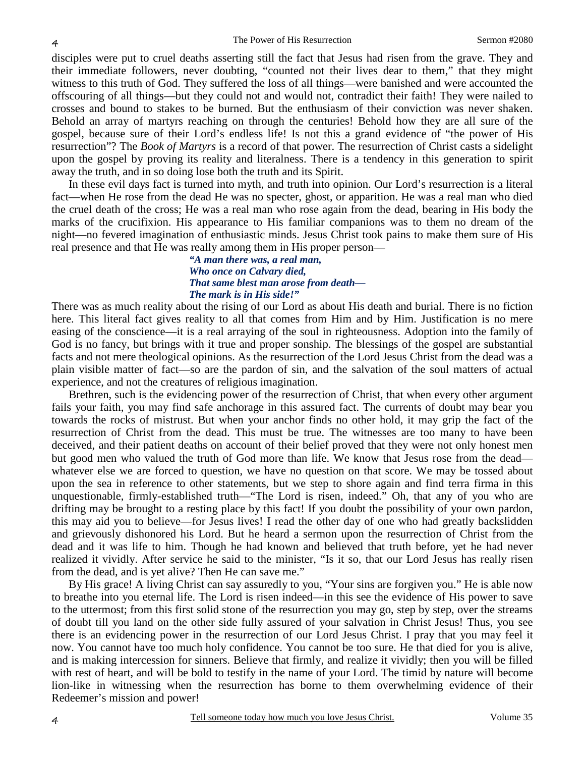disciples were put to cruel deaths asserting still the fact that Jesus had risen from the grave. They and their immediate followers, never doubting, "counted not their lives dear to them," that they might witness to this truth of God. They suffered the loss of all things—were banished and were accounted the offscouring of all things—but they could not and would not, contradict their faith! They were nailed to crosses and bound to stakes to be burned. But the enthusiasm of their conviction was never shaken. Behold an array of martyrs reaching on through the centuries! Behold how they are all sure of the gospel, because sure of their Lord's endless life! Is not this a grand evidence of "the power of His resurrection"? The *Book of Martyrs* is a record of that power. The resurrection of Christ casts a sidelight upon the gospel by proving its reality and literalness. There is a tendency in this generation to spirit away the truth, and in so doing lose both the truth and its Spirit.

In these evil days fact is turned into myth, and truth into opinion. Our Lord's resurrection is a literal fact—when He rose from the dead He was no specter, ghost, or apparition. He was a real man who died the cruel death of the cross; He was a real man who rose again from the dead, bearing in His body the marks of the crucifixion. His appearance to His familiar companions was to them no dream of the night—no fevered imagination of enthusiastic minds. Jesus Christ took pains to make them sure of His real presence and that He was really among them in His proper person—

*"A man there was, a real man, Who once on Calvary died, That same blest man arose from death— The mark is in His side!"* 

There was as much reality about the rising of our Lord as about His death and burial. There is no fiction here. This literal fact gives reality to all that comes from Him and by Him. Justification is no mere easing of the conscience—it is a real arraying of the soul in righteousness. Adoption into the family of God is no fancy, but brings with it true and proper sonship. The blessings of the gospel are substantial facts and not mere theological opinions. As the resurrection of the Lord Jesus Christ from the dead was a plain visible matter of fact—so are the pardon of sin, and the salvation of the soul matters of actual experience, and not the creatures of religious imagination.

Brethren, such is the evidencing power of the resurrection of Christ, that when every other argument fails your faith, you may find safe anchorage in this assured fact. The currents of doubt may bear you towards the rocks of mistrust. But when your anchor finds no other hold, it may grip the fact of the resurrection of Christ from the dead. This must be true. The witnesses are too many to have been deceived, and their patient deaths on account of their belief proved that they were not only honest men but good men who valued the truth of God more than life. We know that Jesus rose from the dead whatever else we are forced to question, we have no question on that score. We may be tossed about upon the sea in reference to other statements, but we step to shore again and find terra firma in this unquestionable, firmly-established truth—"The Lord is risen, indeed." Oh, that any of you who are drifting may be brought to a resting place by this fact! If you doubt the possibility of your own pardon, this may aid you to believe—for Jesus lives! I read the other day of one who had greatly backslidden and grievously dishonored his Lord. But he heard a sermon upon the resurrection of Christ from the dead and it was life to him. Though he had known and believed that truth before, yet he had never realized it vividly. After service he said to the minister, "Is it so, that our Lord Jesus has really risen from the dead, and is yet alive? Then He can save me."

By His grace! A living Christ can say assuredly to you, "Your sins are forgiven you." He is able now to breathe into you eternal life. The Lord is risen indeed—in this see the evidence of His power to save to the uttermost; from this first solid stone of the resurrection you may go, step by step, over the streams of doubt till you land on the other side fully assured of your salvation in Christ Jesus! Thus, you see there is an evidencing power in the resurrection of our Lord Jesus Christ. I pray that you may feel it now. You cannot have too much holy confidence. You cannot be too sure. He that died for you is alive, and is making intercession for sinners. Believe that firmly, and realize it vividly; then you will be filled with rest of heart, and will be bold to testify in the name of your Lord. The timid by nature will become lion-like in witnessing when the resurrection has borne to them overwhelming evidence of their Redeemer's mission and power!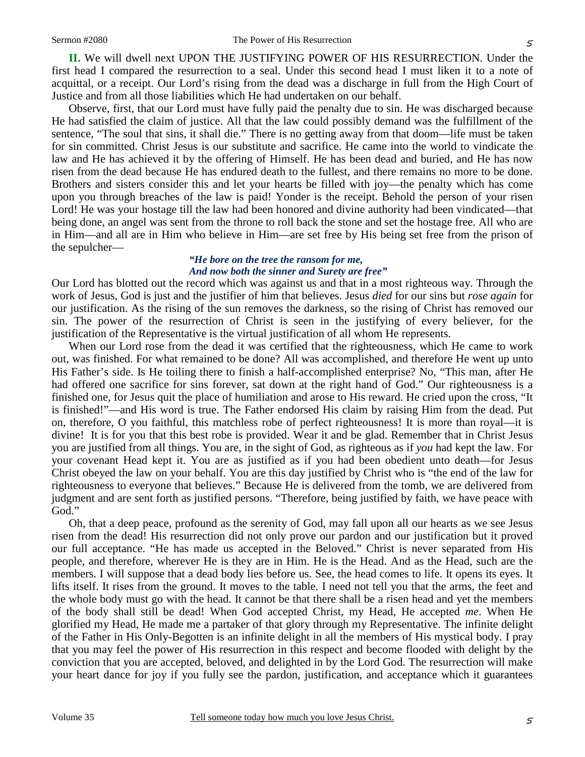**II.** We will dwell next UPON THE JUSTIFYING POWER OF HIS RESURRECTION. Under the first head I compared the resurrection to a seal. Under this second head I must liken it to a note of acquittal, or a receipt. Our Lord's rising from the dead was a discharge in full from the High Court of Justice and from all those liabilities which He had undertaken on our behalf.

Observe, first, that our Lord must have fully paid the penalty due to sin. He was discharged because He had satisfied the claim of justice. All that the law could possibly demand was the fulfillment of the sentence, "The soul that sins, it shall die." There is no getting away from that doom—life must be taken for sin committed. Christ Jesus is our substitute and sacrifice. He came into the world to vindicate the law and He has achieved it by the offering of Himself. He has been dead and buried, and He has now risen from the dead because He has endured death to the fullest, and there remains no more to be done. Brothers and sisters consider this and let your hearts be filled with joy—the penalty which has come upon you through breaches of the law is paid! Yonder is the receipt. Behold the person of your risen Lord! He was your hostage till the law had been honored and divine authority had been vindicated—that being done, an angel was sent from the throne to roll back the stone and set the hostage free. All who are in Him—and all are in Him who believe in Him—are set free by His being set free from the prison of the sepulcher—

#### *"He bore on the tree the ransom for me, And now both the sinner and Surety are free"*

Our Lord has blotted out the record which was against us and that in a most righteous way. Through the work of Jesus, God is just and the justifier of him that believes. Jesus *died* for our sins but *rose again* for our justification. As the rising of the sun removes the darkness, so the rising of Christ has removed our sin. The power of the resurrection of Christ is seen in the justifying of every believer, for the justification of the Representative is the virtual justification of all whom He represents.

When our Lord rose from the dead it was certified that the righteousness, which He came to work out, was finished. For what remained to be done? All was accomplished, and therefore He went up unto His Father's side. Is He toiling there to finish a half-accomplished enterprise? No, "This man, after He had offered one sacrifice for sins forever, sat down at the right hand of God." Our righteousness is a finished one, for Jesus quit the place of humiliation and arose to His reward. He cried upon the cross, "It is finished!"—and His word is true. The Father endorsed His claim by raising Him from the dead. Put on, therefore, O you faithful, this matchless robe of perfect righteousness! It is more than royal—it is divine! It is for you that this best robe is provided. Wear it and be glad. Remember that in Christ Jesus you are justified from all things. You are, in the sight of God, as righteous as if *you* had kept the law. For your covenant Head kept it. You are as justified as if you had been obedient unto death—for Jesus Christ obeyed the law on your behalf. You are this day justified by Christ who is "the end of the law for righteousness to everyone that believes." Because He is delivered from the tomb, we are delivered from judgment and are sent forth as justified persons. "Therefore, being justified by faith, we have peace with God."

Oh, that a deep peace, profound as the serenity of God, may fall upon all our hearts as we see Jesus risen from the dead! His resurrection did not only prove our pardon and our justification but it proved our full acceptance. "He has made us accepted in the Beloved." Christ is never separated from His people, and therefore, wherever He is they are in Him. He is the Head. And as the Head, such are the members. I will suppose that a dead body lies before us. See, the head comes to life. It opens its eyes. It lifts itself. It rises from the ground. It moves to the table. I need not tell you that the arms, the feet and the whole body must go with the head. It cannot be that there shall be a risen head and yet the members of the body shall still be dead! When God accepted Christ, my Head, He accepted *me*. When He glorified my Head, He made me a partaker of that glory through my Representative. The infinite delight of the Father in His Only-Begotten is an infinite delight in all the members of His mystical body. I pray that you may feel the power of His resurrection in this respect and become flooded with delight by the conviction that you are accepted, beloved, and delighted in by the Lord God. The resurrection will make your heart dance for joy if you fully see the pardon, justification, and acceptance which it guarantees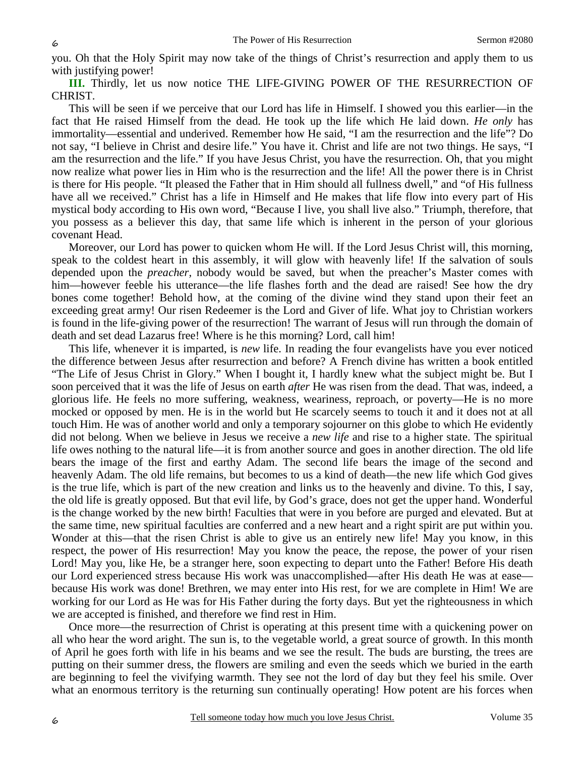you. Oh that the Holy Spirit may now take of the things of Christ's resurrection and apply them to us with justifying power!

**III.** Thirdly, let us now notice THE LIFE-GIVING POWER OF THE RESURRECTION OF CHRIST.

This will be seen if we perceive that our Lord has life in Himself. I showed you this earlier—in the fact that He raised Himself from the dead. He took up the life which He laid down. *He only* has immortality—essential and underived. Remember how He said, "I am the resurrection and the life"? Do not say, "I believe in Christ and desire life." You have it. Christ and life are not two things. He says, "I am the resurrection and the life." If you have Jesus Christ, you have the resurrection. Oh, that you might now realize what power lies in Him who is the resurrection and the life! All the power there is in Christ is there for His people. "It pleased the Father that in Him should all fullness dwell," and "of His fullness have all we received." Christ has a life in Himself and He makes that life flow into every part of His mystical body according to His own word, "Because I live, you shall live also." Triumph, therefore, that you possess as a believer this day, that same life which is inherent in the person of your glorious covenant Head.

Moreover, our Lord has power to quicken whom He will. If the Lord Jesus Christ will, this morning, speak to the coldest heart in this assembly, it will glow with heavenly life! If the salvation of souls depended upon the *preacher,* nobody would be saved, but when the preacher's Master comes with him—however feeble his utterance—the life flashes forth and the dead are raised! See how the dry bones come together! Behold how, at the coming of the divine wind they stand upon their feet an exceeding great army! Our risen Redeemer is the Lord and Giver of life. What joy to Christian workers is found in the life-giving power of the resurrection! The warrant of Jesus will run through the domain of death and set dead Lazarus free! Where is he this morning? Lord, call him!

This life, whenever it is imparted, is *new* life. In reading the four evangelists have you ever noticed the difference between Jesus after resurrection and before? A French divine has written a book entitled "The Life of Jesus Christ in Glory." When I bought it, I hardly knew what the subject might be. But I soon perceived that it was the life of Jesus on earth *after* He was risen from the dead. That was, indeed, a glorious life. He feels no more suffering, weakness, weariness, reproach, or poverty—He is no more mocked or opposed by men. He is in the world but He scarcely seems to touch it and it does not at all touch Him. He was of another world and only a temporary sojourner on this globe to which He evidently did not belong. When we believe in Jesus we receive a *new life* and rise to a higher state. The spiritual life owes nothing to the natural life—it is from another source and goes in another direction. The old life bears the image of the first and earthy Adam. The second life bears the image of the second and heavenly Adam. The old life remains, but becomes to us a kind of death—the new life which God gives is the true life, which is part of the new creation and links us to the heavenly and divine. To this, I say, the old life is greatly opposed. But that evil life, by God's grace, does not get the upper hand. Wonderful is the change worked by the new birth! Faculties that were in you before are purged and elevated. But at the same time, new spiritual faculties are conferred and a new heart and a right spirit are put within you. Wonder at this—that the risen Christ is able to give us an entirely new life! May you know, in this respect, the power of His resurrection! May you know the peace, the repose, the power of your risen Lord! May you, like He, be a stranger here, soon expecting to depart unto the Father! Before His death our Lord experienced stress because His work was unaccomplished—after His death He was at ease because His work was done! Brethren, we may enter into His rest, for we are complete in Him! We are working for our Lord as He was for His Father during the forty days. But yet the righteousness in which we are accepted is finished, and therefore we find rest in Him.

Once more—the resurrection of Christ is operating at this present time with a quickening power on all who hear the word aright. The sun is, to the vegetable world, a great source of growth. In this month of April he goes forth with life in his beams and we see the result. The buds are bursting, the trees are putting on their summer dress, the flowers are smiling and even the seeds which we buried in the earth are beginning to feel the vivifying warmth. They see not the lord of day but they feel his smile. Over what an enormous territory is the returning sun continually operating! How potent are his forces when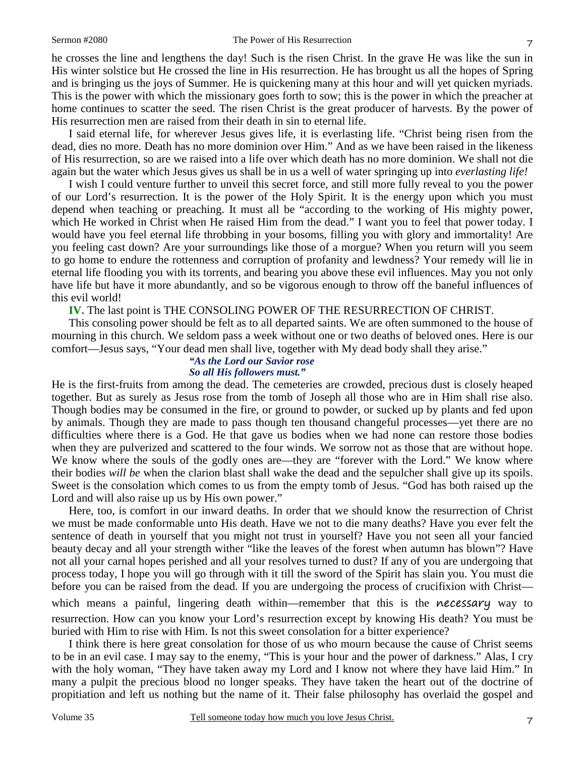he crosses the line and lengthens the day! Such is the risen Christ. In the grave He was like the sun in His winter solstice but He crossed the line in His resurrection. He has brought us all the hopes of Spring and is bringing us the joys of Summer. He is quickening many at this hour and will yet quicken myriads. This is the power with which the missionary goes forth to sow; this is the power in which the preacher at home continues to scatter the seed. The risen Christ is the great producer of harvests. By the power of His resurrection men are raised from their death in sin to eternal life.

I said eternal life, for wherever Jesus gives life, it is everlasting life. "Christ being risen from the dead, dies no more. Death has no more dominion over Him." And as we have been raised in the likeness of His resurrection, so are we raised into a life over which death has no more dominion. We shall not die again but the water which Jesus gives us shall be in us a well of water springing up into *everlasting life!*

I wish I could venture further to unveil this secret force, and still more fully reveal to you the power of our Lord's resurrection. It is the power of the Holy Spirit. It is the energy upon which you must depend when teaching or preaching. It must all be "according to the working of His mighty power, which He worked in Christ when He raised Him from the dead." I want you to feel that power today. I would have you feel eternal life throbbing in your bosoms, filling you with glory and immortality! Are you feeling cast down? Are your surroundings like those of a morgue? When you return will you seem to go home to endure the rottenness and corruption of profanity and lewdness? Your remedy will lie in eternal life flooding you with its torrents, and bearing you above these evil influences. May you not only have life but have it more abundantly, and so be vigorous enough to throw off the baneful influences of this evil world!

**IV.** The last point is THE CONSOLING POWER OF THE RESURRECTION OF CHRIST.

This consoling power should be felt as to all departed saints. We are often summoned to the house of mourning in this church. We seldom pass a week without one or two deaths of beloved ones. Here is our comfort—Jesus says, "Your dead men shall live, together with My dead body shall they arise."

#### *"As the Lord our Savior rose So all His followers must."*

He is the first-fruits from among the dead. The cemeteries are crowded, precious dust is closely heaped together. But as surely as Jesus rose from the tomb of Joseph all those who are in Him shall rise also. Though bodies may be consumed in the fire, or ground to powder, or sucked up by plants and fed upon by animals. Though they are made to pass though ten thousand changeful processes—yet there are no difficulties where there is a God. He that gave us bodies when we had none can restore those bodies when they are pulverized and scattered to the four winds. We sorrow not as those that are without hope. We know where the souls of the godly ones are—they are "forever with the Lord." We know where their bodies *will be* when the clarion blast shall wake the dead and the sepulcher shall give up its spoils. Sweet is the consolation which comes to us from the empty tomb of Jesus. "God has both raised up the Lord and will also raise up us by His own power."

Here, too, is comfort in our inward deaths. In order that we should know the resurrection of Christ we must be made conformable unto His death. Have we not to die many deaths? Have you ever felt the sentence of death in yourself that you might not trust in yourself? Have you not seen all your fancied beauty decay and all your strength wither "like the leaves of the forest when autumn has blown"? Have not all your carnal hopes perished and all your resolves turned to dust? If any of you are undergoing that process today, I hope you will go through with it till the sword of the Spirit has slain you. You must die before you can be raised from the dead. If you are undergoing the process of crucifixion with Christ—

which means a painful, lingering death within—remember that this is the necessary way to resurrection. How can you know your Lord's resurrection except by knowing His death? You must be buried with Him to rise with Him. Is not this sweet consolation for a bitter experience?

I think there is here great consolation for those of us who mourn because the cause of Christ seems to be in an evil case. I may say to the enemy, "This is your hour and the power of darkness." Alas, I cry with the holy woman, "They have taken away my Lord and I know not where they have laid Him." In many a pulpit the precious blood no longer speaks. They have taken the heart out of the doctrine of propitiation and left us nothing but the name of it. Their false philosophy has overlaid the gospel and